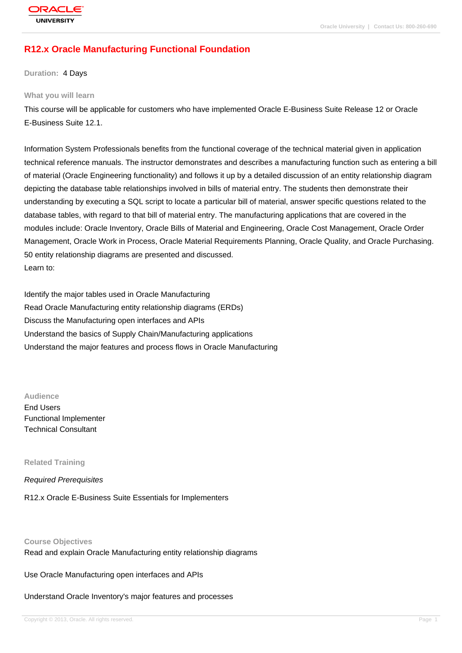# **[R12.x Oracle M](http://education.oracle.com/pls/web_prod-plq-dad/db_pages.getpage?page_id=3)anufacturing Functional Foundation**

**Duration:** 4 Days

#### **What you will learn**

This course will be applicable for customers who have implemented Oracle E-Business Suite Release 12 or Oracle E-Business Suite 12.1.

Information System Professionals benefits from the functional coverage of the technical material given in application technical reference manuals. The instructor demonstrates and describes a manufacturing function such as entering a bill of material (Oracle Engineering functionality) and follows it up by a detailed discussion of an entity relationship diagram depicting the database table relationships involved in bills of material entry. The students then demonstrate their understanding by executing a SQL script to locate a particular bill of material, answer specific questions related to the database tables, with regard to that bill of material entry. The manufacturing applications that are covered in the modules include: Oracle Inventory, Oracle Bills of Material and Engineering, Oracle Cost Management, Oracle Order Management, Oracle Work in Process, Oracle Material Requirements Planning, Oracle Quality, and Oracle Purchasing. 50 entity relationship diagrams are presented and discussed. Learn to:

Identify the major tables used in Oracle Manufacturing Read Oracle Manufacturing entity relationship diagrams (ERDs) Discuss the Manufacturing open interfaces and APIs Understand the basics of Supply Chain/Manufacturing applications Understand the major features and process flows in Oracle Manufacturing

**Audience**

End Users Functional Implementer Technical Consultant

**Related Training**

Required Prerequisites

R12.x Oracle E-Business Suite Essentials for Implementers

**Course Objectives**

Read and explain Oracle Manufacturing entity relationship diagrams

Use Oracle Manufacturing open interfaces and APIs

Understand Oracle Inventory's major features and processes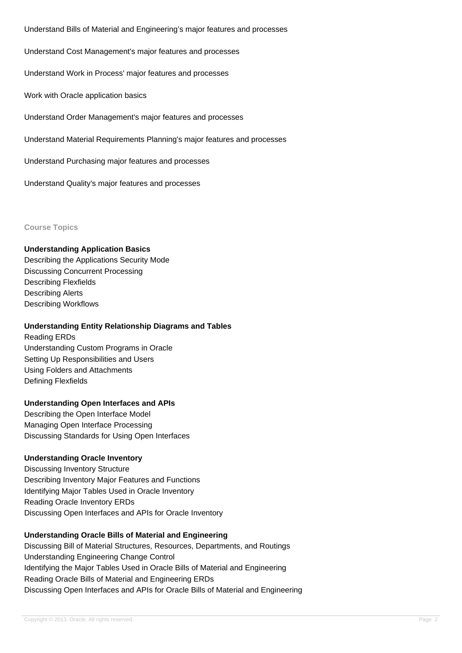Understand Bills of Material and Engineering's major features and processes

Understand Cost Management's major features and processes

Understand Work in Process' major features and processes

Work with Oracle application basics

Understand Order Management's major features and processes

Understand Material Requirements Planning's major features and processes

Understand Purchasing major features and processes

Understand Quality's major features and processes

**Course Topics**

#### **Understanding Application Basics**

Describing the Applications Security Mode Discussing Concurrent Processing Describing Flexfields Describing Alerts Describing Workflows

#### **Understanding Entity Relationship Diagrams and Tables**

Reading ERDs Understanding Custom Programs in Oracle Setting Up Responsibilities and Users Using Folders and Attachments Defining Flexfields

#### **Understanding Open Interfaces and APIs**

Describing the Open Interface Model Managing Open Interface Processing Discussing Standards for Using Open Interfaces

#### **Understanding Oracle Inventory**

Discussing Inventory Structure Describing Inventory Major Features and Functions Identifying Major Tables Used in Oracle Inventory Reading Oracle Inventory ERDs Discussing Open Interfaces and APIs for Oracle Inventory

#### **Understanding Oracle Bills of Material and Engineering**

Discussing Bill of Material Structures, Resources, Departments, and Routings Understanding Engineering Change Control Identifying the Major Tables Used in Oracle Bills of Material and Engineering Reading Oracle Bills of Material and Engineering ERDs Discussing Open Interfaces and APIs for Oracle Bills of Material and Engineering